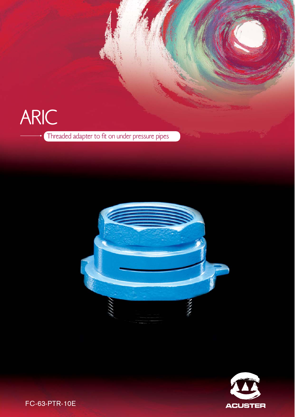# ARIC Threaded adapter to fit on under pressure pipes





FC-63-PTR-10E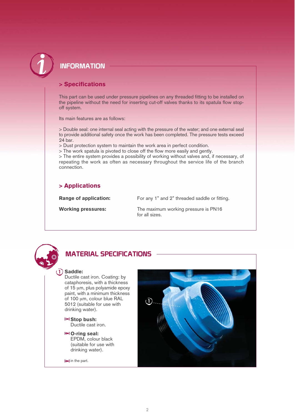

# **INFORMATION**

#### > Specifications

This part can be used under pressure pipelines on any threaded fitting to be installed on the pipeline without the need for inserting cut-off valves thanks to its spatula flow stopoff system.

Its main features are as follows:

> Double seal: one internal seal acting with the pressure of the water; and one external seal to provide additional safety once the work has been completed. The pressure tests exceed 24 bar.

> Dust protection system to maintain the work area in perfect condition.

> The work spatula is pivoted to close off the flow more easily and gently.

> The entire system provides a possibility of working without valves and, if necessary, of repeating the work as often as necessary throughout the service life of the branch connection.

#### > Applications

**Range of application:** For any 1" and 2" threaded saddle or fitting.

Working pressures: The maximum working pressure is PN16 for all sizes.



#### **MATERIAL SPECIFICATIONS**

#### **-** Saddle:

Ductile cast iron. Coating: by cataphoresis, with a thickness of 15 μm, plus polyamide epoxy paint, with a minimum thickness of 100 μm, colour blue RAL 5012 (suitable for use with drinking water).

 $\blacktriangleright$  Stop bush: Ductile cast iron.

O-ring seal: EPDM, colour black (suitable for use with drinking water).

 $\blacktriangleright$  in the part.

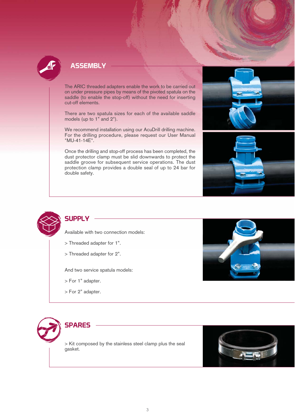

### **ASSEMBLY**

The ARIC threaded adapters enable the work to be carried out on under pressure pipes by means of the pivoted spatula on the saddle (to enable the stop-off) without the need for inserting cut-off elements.

There are two spatula sizes for each of the available saddle models (up to 1" and 2").

We recommend installation using our AcuDrill drilling machine. For the drilling procedure, please request our User Manual "MU-41-14E".

Once the drilling and stop-off process has been completed, the dust protector clamp must be slid downwards to protect the saddle groove for subsequent service operations. The dust protection clamp provides a double seal of up to 24 bar for double safety.







# **SUPPLY**

Available with two connection models:

- > Threaded adapter for 1".
- > Threaded adapter for 2".

And two service spatula models:

- > For 1" adapter.
- > For 2" adapter.



# **SPARES**

> Kit composed by the stainless steel clamp plus the seal gasket.